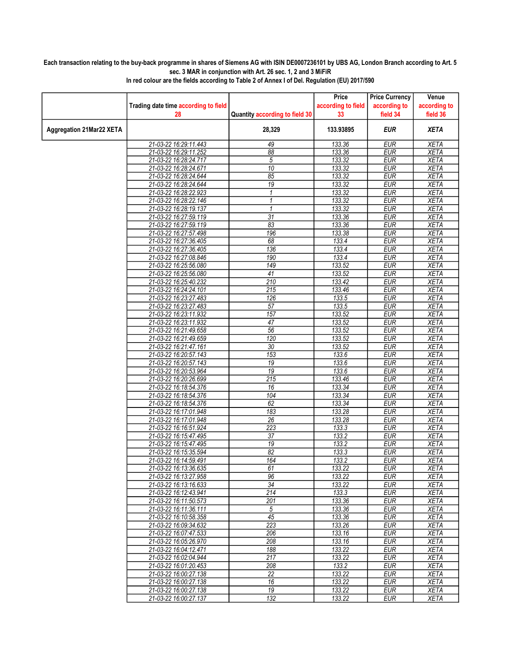## Each transaction relating to the buy-back programme in shares of Siemens AG with ISIN DE0007236101 by UBS AG, London Branch according to Art. 5 sec. 3 MAR in conjunction with Art. 26 sec. 1, 2 and 3 MiFiR

|                          |                                                |                                | Price              | <b>Price Currency</b>    | Venue                      |
|--------------------------|------------------------------------------------|--------------------------------|--------------------|--------------------------|----------------------------|
|                          | Trading date time according to field           |                                | according to field | according to             | according to               |
|                          | 28                                             | Quantity according to field 30 | 33                 | field 34                 | field 36                   |
| Aggregation 21Mar22 XETA |                                                | 28,329                         | 133.93895          | <b>EUR</b>               | <b>XETA</b>                |
|                          | 21-03-22 16:29:11.443                          | 49                             | 133.36             | <b>EUR</b>               | <b>XETA</b>                |
|                          | 21-03-22 16:29:11.252                          | 88                             | 133.36             | <b>EUR</b>               | <b>XETA</b>                |
|                          | 21-03-22 16:28:24.717                          | 5                              | 133.32             | <b>EUR</b>               | <b>XETA</b>                |
|                          | 21-03-22 16:28:24.671                          | 10                             | 133.32             | <b>EUR</b>               | <b>XETA</b>                |
|                          | 21-03-22 16:28:24.644                          | 85                             | 133.32             | <b>EUR</b>               | <b>XETA</b>                |
|                          | 21-03-22 16:28:24.644                          | 19                             | 133.32             | <b>EUR</b>               | <b>XETA</b>                |
|                          | 21-03-22 16:28:22.923                          | 1                              | 133.32             | <b>EUR</b>               | <b>XETA</b>                |
|                          | 21-03-22 16:28:22.146                          | $\mathbf{1}$                   | 133.32             | <b>EUR</b>               | <b>XETA</b>                |
|                          | 21-03-22 16:28:19.137                          | $\mathbf{1}$                   | 133.32             | <b>EUR</b>               | <b>XETA</b>                |
|                          | 21-03-22 16:27:59.119                          | $\overline{31}$                | 133.36             | <b>EUR</b>               | <b>XETA</b>                |
|                          | 21-03-22 16:27:59.119                          | 83                             | 133.36             | <b>EUR</b>               | <b>XETA</b>                |
|                          | 21-03-22 16:27:57.498                          | 196                            | 133.38             | <b>EUR</b>               | <b>XETA</b>                |
|                          | 21-03-22 16:27:36.405                          | 68                             | 133.4              | <b>EUR</b>               | <b>XETA</b>                |
|                          | 21-03-22 16:27:36.405<br>21-03-22 16:27:08.846 | 136<br>190                     | 133.4<br>133.4     | <b>EUR</b><br><b>EUR</b> | <b>XETA</b><br><b>XETA</b> |
|                          | 21-03-22 16:25:56.080                          | 149                            | 133.52             | <b>EUR</b>               | <b>XETA</b>                |
|                          | 21-03-22 16:25:56.080                          | $\overline{41}$                | 133.52             | <b>EUR</b>               | <b>XETA</b>                |
|                          | 21-03-22 16:25:40.232                          | 210                            | 133.42             | <b>EUR</b>               | <b>XETA</b>                |
|                          | 21-03-22 16:24:24.101                          | 215                            | 133.46             | <b>EUR</b>               | <b>XETA</b>                |
|                          | 21-03-22 16:23:27.483                          | 126                            | 133.5              | EUR                      | <b>XETA</b>                |
|                          | 21-03-22 16:23:27.483                          | 57                             | 133.5              | <b>EUR</b>               | <b>XETA</b>                |
|                          | 21-03-22 16:23:11.932                          | 157                            | 133.52             | <b>EUR</b>               | <b>XETA</b>                |
|                          | 21-03-22 16:23:11.932                          | 47                             | 133.52             | <b>EUR</b>               | <b>XETA</b>                |
|                          | 21-03-22 16:21:49.658                          | 56                             | 133.52             | <b>EUR</b>               | <b>XETA</b>                |
|                          | 21-03-22 16:21:49.659                          | 120                            | 133.52             | <b>EUR</b>               | <b>XETA</b>                |
|                          | 21-03-22 16:21:47.161                          | $\overline{30}$                | 133.52             | <b>EUR</b>               | <b>XETA</b>                |
|                          | 21-03-22 16:20:57.143                          | 153                            | 133.6              | <b>EUR</b>               | <b>XETA</b>                |
|                          | 21-03-22 16:20:57.143                          | 19                             | 133.6              | <b>EUR</b>               | <b>XETA</b>                |
|                          | 21-03-22 16:20:53.964                          | 19                             | 133.6              | <b>EUR</b>               | <b>XETA</b>                |
|                          | 21-03-22 16:20:26.699                          | 215                            | 133.46             | <b>EUR</b>               | <b>XETA</b>                |
|                          | 21-03-22 16:18:54.376                          | 16                             | 133.34             | <b>EUR</b>               | <b>XETA</b>                |
|                          | 21-03-22 16:18:54.376                          | 104                            | 133.34             | <b>EUR</b>               | <b>XETA</b>                |
|                          | 21-03-22 16:18:54.376                          | 62                             | 133.34             | <b>EUR</b>               | <b>XETA</b>                |
|                          | 21-03-22 16:17:01.948                          | 183                            | 133.28             | <b>EUR</b>               | <b>XETA</b>                |
|                          | 21-03-22 16:17:01.948                          | 26                             | 133.28             | <b>EUR</b>               | <b>XETA</b>                |
|                          | 21-03-22 16:16:51.924                          | 223                            | 133.3              | <b>EUR</b>               | <b>XETA</b>                |
|                          | 21-03-22 16:15:47.495                          | $\overline{37}$                | 133.2              | <b>EUR</b>               | <b>XETA</b>                |
|                          | 21-03-22 16:15:47.495                          | 19                             | 133.2              | <b>EUR</b>               | <b>XETA</b>                |
|                          | 21-03-22 16:15:35.594<br>21-03-22 16:14:59.491 | 82<br>164                      | 133.3<br>133.2     | <b>EUR</b><br><b>EUR</b> | <b>XETA</b><br><b>XETA</b> |
|                          | 21-03-22 16:13:36.635                          | 61                             | 133.22             | EUR                      | XETA                       |
|                          | 21-03-22 16:13:27.958                          | 96                             | 133.22             | <b>EUR</b>               | <b>XETA</b>                |
|                          | 21-03-22 16:13:16.633                          | 34                             | 133.22             | <b>EUR</b>               | <b>XETA</b>                |
|                          | 21-03-22 16:12:43.941                          | 214                            | 133.3              | <b>EUR</b>               | <b>XETA</b>                |
|                          | 21-03-22 16:11:50.573                          | 201                            | 133.36             | <b>EUR</b>               | <b>XETA</b>                |
|                          | 21-03-22 16:11:36.111                          | $\overline{5}$                 | 133.36             | <b>EUR</b>               | XETA                       |
|                          | 21-03-22 16:10:58.358                          | 45                             | 133.36             | <b>EUR</b>               | <b>XETA</b>                |
|                          | 21-03-22 16:09:34.632                          | 223                            | 133.26             | <b>EUR</b>               | <b>XETA</b>                |
|                          | 21-03-22 16:07:47.533                          | 206                            | 133.16             | <b>EUR</b>               | <b>XETA</b>                |
|                          | 21-03-22 16:05:26.970                          | 208                            | 133.16             | <b>EUR</b>               | <b>XETA</b>                |
|                          | 21-03-22 16:04:12.471                          | 188                            | 133.22             | <b>EUR</b>               | <b>XETA</b>                |
|                          | 21-03-22 16:02:04.944                          | 217                            | 133.22             | <b>EUR</b>               | <b>XETA</b>                |
|                          | 21-03-22 16:01:20.453                          | 208                            | 133.2              | <b>EUR</b>               | <b>XETA</b>                |
|                          | 21-03-22 16:00:27.138                          | 22                             | 133.22             | <b>EUR</b>               | <b>XETA</b>                |
|                          | 21-03-22 16:00:27.138                          | 16                             | 133.22             | <b>EUR</b>               | <b>XETA</b>                |
|                          | 21-03-22 16:00:27.138                          | 19                             | 133.22             | <b>EUR</b>               | <b>XETA</b>                |
|                          | 21-03-22 16:00:27.137                          | 132                            | 133.22             | <b>EUR</b>               | <b>XETA</b>                |

In red colour are the fields according to Table 2 of Annex I of Del. Regulation (EU) 2017/590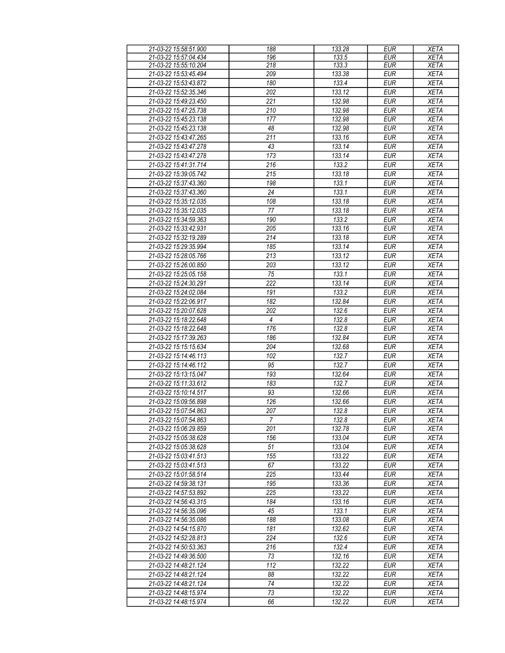| 21-03-22 15:58:51.900 | 188              | 133.28 | <b>EUR</b> | <b>XETA</b> |
|-----------------------|------------------|--------|------------|-------------|
| 21-03-22 15:57:04.434 | 196              | 133.5  | EUR        | <b>XETA</b> |
| 21-03-22 15:55:10.204 | 218              | 133.3  | <b>EUR</b> | <b>XETA</b> |
| 21-03-22 15:53:45.494 | 209              | 133.38 | <b>EUR</b> | <b>XETA</b> |
| 21-03-22 15:53:43.872 | 180              | 133.4  | <b>EUR</b> | <b>XETA</b> |
| 21-03-22 15:52:35.346 | 202              | 133.12 | <b>EUR</b> | <b>XETA</b> |
| 21-03-22 15:49:23.450 | 221              | 132.98 | <b>EUR</b> | <b>XETA</b> |
|                       |                  |        |            |             |
| 21-03-22 15:47:25.738 | 210              | 132.98 | <b>EUR</b> | <b>XETA</b> |
| 21-03-22 15:45:23.138 | 177              | 132.98 | <b>EUR</b> | <b>XETA</b> |
| 21-03-22 15:45:23.138 | 48               | 132.98 | <b>EUR</b> | <b>XETA</b> |
| 21-03-22 15:43:47.265 | 211              | 133.16 | <b>EUR</b> | <b>XETA</b> |
| 21-03-22 15:43:47.278 | 43               | 133.14 | <b>EUR</b> | <b>XETA</b> |
| 21-03-22 15:43:47.278 | 173              | 133.14 | <b>EUR</b> | <b>XETA</b> |
| 21-03-22 15:41:31.714 | 216              | 133.2  | <b>EUR</b> | <b>XETA</b> |
| 21-03-22 15:39:05.742 | 215              | 133.18 | <b>EUR</b> | <b>XETA</b> |
| 21-03-22 15:37:43.360 | 198              | 133.1  | <b>EUR</b> | <b>XETA</b> |
| 21-03-22 15:37:43.360 | 24               | 133.1  | <b>EUR</b> | <b>XETA</b> |
| 21-03-22 15:35:12.035 | 108              | 133.18 | <b>EUR</b> | <b>XETA</b> |
| 21-03-22 15:35:12.035 | 77               | 133.18 | <b>EUR</b> | <b>XETA</b> |
| 21-03-22 15:34:59.363 | 190              | 133.2  | <b>EUR</b> | <b>XETA</b> |
| 21-03-22 15:33:42.931 | 205              | 133.16 | <b>EUR</b> | <b>XETA</b> |
| 21-03-22 15:32:19.289 | 214              | 133.18 | <b>EUR</b> | <b>XETA</b> |
|                       | 185              | 133.14 | <b>EUR</b> |             |
| 21-03-22 15:29:35.994 |                  |        |            | <b>XETA</b> |
| 21-03-22 15:28:05.766 | 213              | 133.12 | <b>EUR</b> | <b>XETA</b> |
| 21-03-22 15:26:00.850 | 203              | 133.12 | <b>EUR</b> | <b>XETA</b> |
| 21-03-22 15:25:05.158 | 75               | 133.1  | <b>EUR</b> | <b>XETA</b> |
| 21-03-22 15:24:30.291 | 222              | 133.14 | <b>EUR</b> | <b>XETA</b> |
| 21-03-22 15:24:02.084 | 191              | 133.2  | <b>EUR</b> | <b>XETA</b> |
| 21-03-22 15:22:06.917 | 182              | 132.84 | <b>EUR</b> | <b>XETA</b> |
| 21-03-22 15:20:07.628 | $\overline{202}$ | 132.6  | <b>EUR</b> | <b>XETA</b> |
| 21-03-22 15:18:22.648 | $\overline{4}$   | 132.8  | <b>EUR</b> | <b>XETA</b> |
| 21-03-22 15:18:22.648 | 176              | 132.8  | <b>EUR</b> | <b>XETA</b> |
| 21-03-22 15:17:39.263 | 186              | 132.84 | <b>EUR</b> | <b>XETA</b> |
| 21-03-22 15:15:15.634 | 204              | 132.68 | <b>EUR</b> | <b>XETA</b> |
| 21-03-22 15:14:46.113 | 102              | 132.7  | <b>EUR</b> | <b>XETA</b> |
| 21-03-22 15:14:46.112 | 95               | 132.7  | <b>EUR</b> | <b>XETA</b> |
| 21-03-22 15:13:15.047 | 193              | 132.64 | <b>EUR</b> | <b>XETA</b> |
| 21-03-22 15:11:33.612 | 183              | 132.7  | <b>EUR</b> | <b>XETA</b> |
| 21-03-22 15:10:14.517 | 93               | 132.66 | <b>EUR</b> | <b>XETA</b> |
|                       |                  |        |            |             |
| 21-03-22 15:09:56.898 | 126              | 132.66 | <b>EUR</b> | <b>XETA</b> |
| 21-03-22 15:07:54.863 | 207              | 132.8  | <b>EUR</b> | <b>XETA</b> |
| 21-03-22 15:07:54.863 | $\overline{7}$   | 132.8  | <b>EUR</b> | <b>XETA</b> |
| 21-03-22 15:06:29.859 | 201              | 132.78 | EUR        | <b>XETA</b> |
| 21-03-22 15:05:38.628 | 156              | 133.04 | <b>EUR</b> | <b>XETA</b> |
| 21-03-22 15:05:38.628 | 51               | 133.04 | <b>EUR</b> | <b>XETA</b> |
| 21-03-22 15:03:41.513 | 155              | 133.22 | <b>EUR</b> | <b>XETA</b> |
| 21-03-22 15:03:41.513 | 67               | 133.22 | <b>EUR</b> | <b>XETA</b> |
| 21-03-22 15:01:58.514 | 225              | 133.44 | <b>EUR</b> | <b>XETA</b> |
| 21-03-22 14:59:38.131 | 195              | 133.36 | <b>EUR</b> | <b>XETA</b> |
| 21-03-22 14:57:53.892 | 225              | 133.22 | <b>EUR</b> | <b>XETA</b> |
| 21-03-22 14:56:43.315 | 184              | 133.16 | <b>EUR</b> | <b>XETA</b> |
| 21-03-22 14:56:35.096 | 45               | 133.1  | <b>EUR</b> | <b>XETA</b> |
| 21-03-22 14:56:35.086 | 188              | 133.08 | <b>EUR</b> | <b>XETA</b> |
| 21-03-22 14:54:15.870 | 181              | 132.62 | <b>EUR</b> | <b>XETA</b> |
| 21-03-22 14:52:28.813 | $\overline{224}$ | 132.6  | <b>EUR</b> | <b>XETA</b> |
| 21-03-22 14:50:53.363 | 216              | 132.4  | <b>EUR</b> | <b>XETA</b> |
| 21-03-22 14:49:36.500 | 73               | 132.16 | <b>EUR</b> | <b>XETA</b> |
| 21-03-22 14:48:21.124 | 112              | 132.22 | <b>EUR</b> | <b>XETA</b> |
| 21-03-22 14:48:21.124 | 88               | 132.22 | <b>EUR</b> | <b>XETA</b> |
|                       |                  |        |            |             |
| 21-03-22 14:48:21.124 | 74               | 132.22 | <b>EUR</b> | <b>XETA</b> |
| 21-03-22 14:48:15.974 | 73               | 132.22 | <b>EUR</b> | <b>XETA</b> |
| 21-03-22 14:48:15.974 | 66               | 132.22 | <b>EUR</b> | <b>XETA</b> |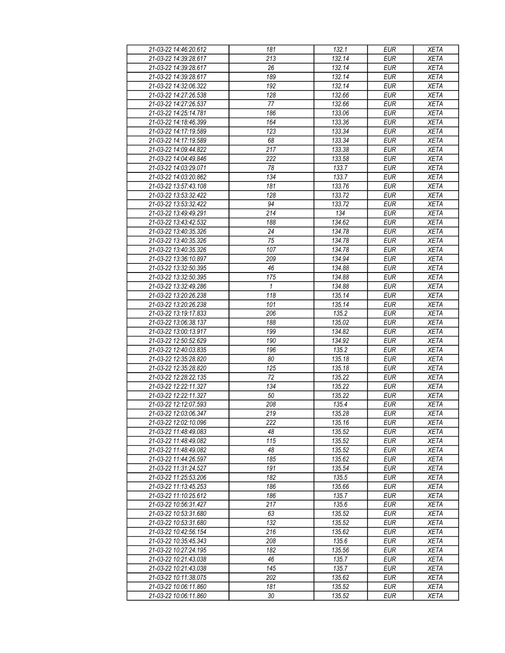| 21-03-22 14:46:20.612 | 181              | 132.1  | <b>EUR</b>       | <b>XETA</b> |
|-----------------------|------------------|--------|------------------|-------------|
| 21-03-22 14:39:28.617 | 213              | 132.14 | <b>EUR</b>       | <b>XETA</b> |
| 21-03-22 14:39:28.617 | 26               | 132.14 | <b>EUR</b>       | <b>XETA</b> |
| 21-03-22 14:39:28.617 | 189              | 132.14 | <b>EUR</b>       | <b>XETA</b> |
| 21-03-22 14:32:06.322 | 192              | 132.14 | <b>EUR</b>       | <b>XETA</b> |
| 21-03-22 14:27:26.538 | 128              | 132.66 | <b>EUR</b>       | <b>XETA</b> |
| 21-03-22 14:27:26.537 | 77               | 132.66 | <b>EUR</b>       | <b>XETA</b> |
| 21-03-22 14:25:14.781 | 186              | 133.06 | <b>EUR</b>       | <b>XETA</b> |
| 21-03-22 14:18:46.399 | 164              | 133.36 | <b>EUR</b>       | <b>XETA</b> |
| 21-03-22 14:17:19.589 | 123              | 133.34 | <b>EUR</b>       | <b>XETA</b> |
| 21-03-22 14:17:19.589 | 68               | 133.34 | <b>EUR</b>       | <b>XETA</b> |
| 21-03-22 14:09:44.822 | 217              | 133.38 | <b>EUR</b>       | <b>XETA</b> |
| 21-03-22 14:04:49.846 | 222              | 133.58 | <b>EUR</b>       | <b>XETA</b> |
| 21-03-22 14:03:29.071 | 78               | 133.7  | <b>EUR</b>       | <b>XETA</b> |
| 21-03-22 14:03:20.862 | 134              | 133.7  | <b>EUR</b>       | <b>XETA</b> |
| 21-03-22 13:57:43.108 | 181              | 133.76 | <b>EUR</b>       | <b>XETA</b> |
| 21-03-22 13:53:32.422 | 128              | 133.72 | <b>EUR</b>       | <b>XETA</b> |
| 21-03-22 13:53:32.422 | 94               | 133.72 | <b>EUR</b>       | <b>XETA</b> |
| 21-03-22 13:49:49.291 | 214              | 134    | <b>EUR</b>       | <b>XETA</b> |
| 21-03-22 13:43:42.532 | 188              | 134.62 | <b>EUR</b>       | <b>XETA</b> |
| 21-03-22 13:40:35.326 | 24               | 134.78 | <b>EUR</b>       | <b>XETA</b> |
|                       |                  |        | <b>EUR</b>       |             |
| 21-03-22 13:40:35.326 | 75<br>107        | 134.78 | <b>EUR</b>       | <b>XETA</b> |
| 21-03-22 13:40:35.326 |                  | 134.78 |                  | <b>XETA</b> |
| 21-03-22 13:36:10.897 | 209              | 134.94 | <b>EUR</b>       | <b>XETA</b> |
| 21-03-22 13:32:50.395 | 46               | 134.88 | <b>EUR</b>       | <b>XETA</b> |
| 21-03-22 13:32:50.395 | 175              | 134.88 | <b>EUR</b>       | <b>XETA</b> |
| 21-03-22 13:32:49.286 | $\mathbf{1}$     | 134.88 | <b>EUR</b>       | <b>XETA</b> |
| 21-03-22 13:20:26.238 | 118              | 135.14 | <b>EUR</b>       | <b>XETA</b> |
| 21-03-22 13:20:26.238 | 101              | 135.14 | <b>EUR</b>       | <b>XETA</b> |
| 21-03-22 13:19:17.833 | 206              | 135.2  | <b>EUR</b>       | <b>XETA</b> |
| 21-03-22 13:06:38.137 | 188              | 135.02 | <b>EUR</b>       | <b>XETA</b> |
| 21-03-22 13:00:13.917 | 199              | 134.82 | <b>EUR</b>       | <b>XETA</b> |
| 21-03-22 12:50:52.629 | 190              | 134.92 | <b>EUR</b>       | <b>XETA</b> |
| 21-03-22 12:40:03.835 | 196              | 135.2  | <b>EUR</b>       | <b>XETA</b> |
| 21-03-22 12:35:28.820 | 80               | 135.18 | <b>EUR</b>       | <b>XETA</b> |
| 21-03-22 12:35:28.820 | 125              | 135.18 | <b>EUR</b>       | <b>XETA</b> |
| 21-03-22 12:28:22.135 | 72               | 135.22 | <b>EUR</b>       | <b>XETA</b> |
| 21-03-22 12:22:11.327 | 134              | 135.22 | <b>EUR</b>       | <b>XETA</b> |
| 21-03-22 12:22:11.327 | 50               | 135.22 | <b>EUR</b>       | <b>XETA</b> |
| 21-03-22 12:12:07.593 | 208              | 135.4  | <b>EUR</b>       | <b>XETA</b> |
| 21-03-22 12:03:06.347 | $\overline{219}$ | 135.28 | EUR              | <b>XETA</b> |
| 21-03-22 12:02:10.096 | 222              | 135.16 | <b>EUR</b>       | <b>XETA</b> |
| 21-03-22 11:48:49.083 | 48               | 135.52 | <b>EUR</b>       | <b>XETA</b> |
| 21-03-22 11:48:49.082 | 115              | 135.52 | $E\overline{UR}$ | <b>XETA</b> |
| 21-03-22 11:48:49.082 | 48               | 135.52 | <b>EUR</b>       | <b>XETA</b> |
| 21-03-22 11:44:26.597 | 185              | 135.62 | <b>EUR</b>       | <b>XETA</b> |
| 21-03-22 11:31:24.527 | 191              | 135.54 | <b>EUR</b>       | <b>XETA</b> |
| 21-03-22 11:25:53.206 | 182              | 135.5  | <b>EUR</b>       | <b>XETA</b> |
| 21-03-22 11:13:45.253 | 186              | 135.66 | <b>EUR</b>       | <b>XETA</b> |
| 21-03-22 11:10:25.612 | 186              | 135.7  | <b>EUR</b>       | <b>XETA</b> |
| 21-03-22 10:56:31.427 | 217              | 135.6  | <b>EUR</b>       | <b>XETA</b> |
| 21-03-22 10:53:31.680 | 63               | 135.52 | <b>EUR</b>       | <b>XETA</b> |
| 21-03-22 10:53:31.680 | 132              | 135.52 | <b>EUR</b>       | <b>XETA</b> |
| 21-03-22 10:42:56.154 | 216              | 135.62 | <b>EUR</b>       | <b>XETA</b> |
| 21-03-22 10:35:45.343 | 208              | 135.6  | <b>EUR</b>       | <b>XETA</b> |
| 21-03-22 10:27:24.195 | 182              | 135.56 | <b>EUR</b>       | XETA        |
| 21-03-22 10:21:43.038 | 46               | 135.7  | <b>EUR</b>       | <b>XETA</b> |
| 21-03-22 10:21:43.038 | 145              | 135.7  | <b>EUR</b>       | <b>XETA</b> |
| 21-03-22 10:11:38.075 | 202              | 135.62 | <b>EUR</b>       | <b>XETA</b> |
| 21-03-22 10:06:11.860 | 181              | 135.52 | <b>EUR</b>       | <b>XETA</b> |
| 21-03-22 10:06:11.860 | 30               | 135.52 | <b>EUR</b>       | <b>XETA</b> |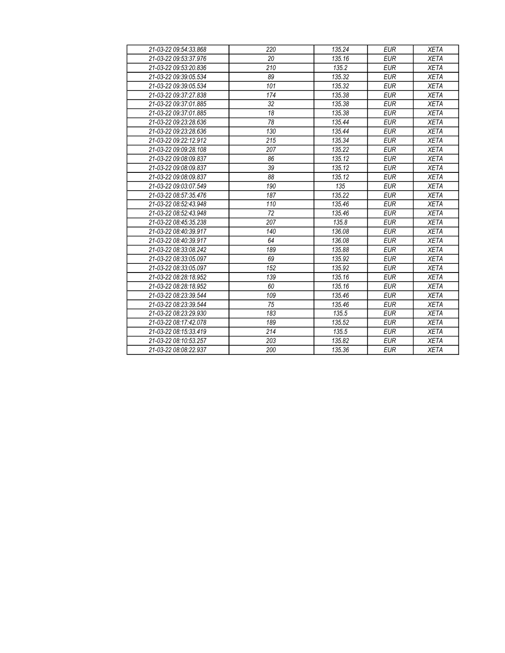| 21-03-22 09:54:33.868 | 220             | 135.24 | <b>EUR</b> | <b>XETA</b> |
|-----------------------|-----------------|--------|------------|-------------|
| 21-03-22 09:53:37.976 | 20              | 135.16 | <b>EUR</b> | <b>XETA</b> |
| 21-03-22 09:53:20.836 | 210             | 135.2  | <b>EUR</b> | <b>XETA</b> |
| 21-03-22 09:39:05.534 | 89              | 135.32 | <b>EUR</b> | <b>XETA</b> |
| 21-03-22 09:39:05.534 | 101             | 135.32 | <b>EUR</b> | <b>XETA</b> |
| 21-03-22 09:37:27.838 | 174             | 135.38 | <b>EUR</b> | <b>XETA</b> |
| 21-03-22 09:37:01.885 | 32              | 135.38 | <b>EUR</b> | <b>XETA</b> |
| 21-03-22 09:37:01.885 | 18              | 135.38 | <b>EUR</b> | <b>XETA</b> |
| 21-03-22 09:23:28.636 | 78              | 135.44 | <b>EUR</b> | <b>XETA</b> |
| 21-03-22 09:23:28.636 | 130             | 135.44 | <b>EUR</b> | <b>XETA</b> |
| 21-03-22 09:22:12.912 | 215             | 135.34 | <b>EUR</b> | <b>XETA</b> |
| 21-03-22 09:09:28 108 | 207             | 135.22 | <b>EUR</b> | <b>XETA</b> |
| 21-03-22 09:08:09.837 | 86              | 135.12 | <b>EUR</b> | <b>XETA</b> |
| 21-03-22 09:08:09.837 | 39              | 135.12 | <b>EUR</b> | <b>XETA</b> |
| 21-03-22 09:08:09.837 | $\overline{88}$ | 135.12 | <b>EUR</b> | <b>XETA</b> |
| 21-03-22 09:03:07.549 | 190             | 135    | <b>EUR</b> | <b>XETA</b> |
| 21-03-22 08:57:35.476 | 187             | 135.22 | <b>EUR</b> | <b>XETA</b> |
| 21-03-22 08:52:43.948 | 110             | 135.46 | <b>EUR</b> | <b>XETA</b> |
| 21-03-22 08:52:43.948 | 72              | 135.46 | <b>EUR</b> | <b>XETA</b> |
| 21-03-22 08:45:35.238 | 207             | 135.8  | <b>EUR</b> | <b>XETA</b> |
| 21-03-22 08:40:39.917 | 140             | 136.08 | <b>EUR</b> | <b>XETA</b> |
| 21-03-22 08:40:39.917 | 64              | 136.08 | <b>EUR</b> | <b>XETA</b> |
| 21-03-22 08:33:08.242 | 189             | 135.88 | <b>EUR</b> | <b>XETA</b> |
| 21-03-22 08:33:05.097 | 69              | 135.92 | <b>EUR</b> | <b>XETA</b> |
| 21-03-22 08:33:05.097 | 152             | 135.92 | <b>EUR</b> | <b>XETA</b> |
| 21-03-22 08:28:18.952 | 139             | 135.16 | <b>EUR</b> | <b>XETA</b> |
| 21-03-22 08:28:18.952 | 60              | 135.16 | <b>EUR</b> | <b>XETA</b> |
| 21-03-22 08:23:39.544 | 109             | 135.46 | <b>EUR</b> | <b>XETA</b> |
| 21-03-22 08:23:39.544 | 75              | 135.46 | <b>EUR</b> | <b>XETA</b> |
| 21-03-22 08:23:29.930 | 183             | 135.5  | <b>EUR</b> | <b>XETA</b> |
| 21-03-22 08:17:42.078 | 189             | 135.52 | <b>EUR</b> | <b>XETA</b> |
| 21-03-22 08:15:33.419 | 214             | 135.5  | <b>EUR</b> | <b>XETA</b> |
| 21-03-22 08:10:53.257 | 203             | 135.82 | <b>EUR</b> | <b>XETA</b> |
| 21-03-22 08:08:22.937 | 200             | 135.36 | <b>EUR</b> | <b>XETA</b> |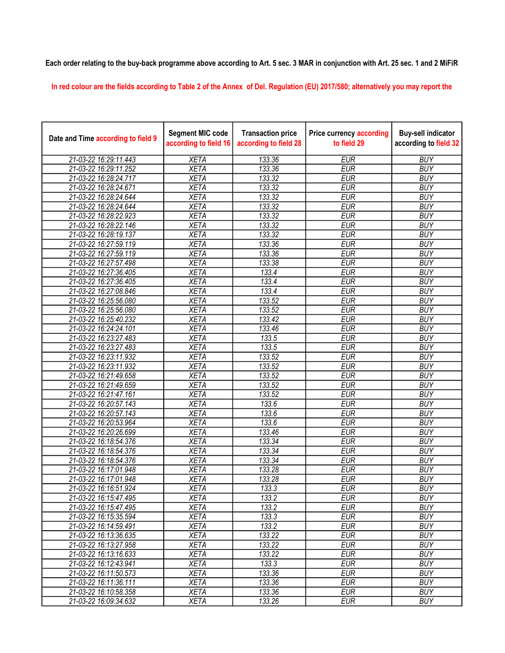## Each order relating to the buy-back programme above according to Art. 5 sec. 3 MAR in conjunction with Art. 25 sec. 1 and 2 MiFiR

In red colour are the fields according to Table 2 of the Annex of Del. Regulation (EU) 2017/580; alternatively you may report the

| Date and Time according to field 9 | <b>Segment MIC code</b><br>according to field 16 | <b>Transaction price</b><br>according to field 28 | <b>Price currency according</b><br>to field 29 | <b>Buy-sell indicator</b><br>according to field 32 |
|------------------------------------|--------------------------------------------------|---------------------------------------------------|------------------------------------------------|----------------------------------------------------|
| 21-03-22 16:29:11.443              | <b>XETA</b>                                      | 133.36                                            | <b>EUR</b>                                     | <b>BUY</b>                                         |
| 21-03-22 16:29:11.252              | <b>XETA</b>                                      | 133.36                                            | <b>EUR</b>                                     | <b>BUY</b>                                         |
| 21-03-22 16:28:24.717              | <b>XETA</b>                                      | 133.32                                            | <b>EUR</b>                                     | <b>BUY</b>                                         |
| 21-03-22 16:28:24.671              | <b>XETA</b>                                      | 133.32                                            | <b>EUR</b>                                     | <b>BUY</b>                                         |
| 21-03-22 16:28:24.644              | <b>XETA</b>                                      | 133.32                                            | <b>EUR</b>                                     | <b>BUY</b>                                         |
| 21-03-22 16:28:24.644              | <b>XETA</b>                                      | 133.32                                            | <b>EUR</b>                                     | <b>BUY</b>                                         |
| 21-03-22 16:28:22.923              | <b>XETA</b>                                      | 133.32                                            | <b>EUR</b>                                     | <b>BUY</b>                                         |
| 21-03-22 16:28:22.146              | <b>XETA</b>                                      | 133.32                                            | <b>EUR</b>                                     | <b>BUY</b>                                         |
| 21-03-22 16:28:19.137              | <b>XETA</b>                                      | 133.32                                            | <b>EUR</b>                                     | <b>BUY</b>                                         |
| 21-03-22 16:27:59.119              | <b>XETA</b>                                      | 133.36                                            | <b>EUR</b>                                     | <b>BUY</b>                                         |
| 21-03-22 16:27:59.119              | <b>XETA</b>                                      | 133.36                                            | <b>EUR</b>                                     | <b>BUY</b>                                         |
| 21-03-22 16:27:57.498              | <b>XETA</b>                                      | 133.38                                            | <b>EUR</b>                                     | <b>BUY</b>                                         |
| 21-03-22 16:27:36.405              | <b>XETA</b>                                      | 133.4                                             | <b>EUR</b>                                     | <b>BUY</b>                                         |
| 21-03-22 16:27:36.405              | <b>XETA</b>                                      | 133.4                                             | <b>EUR</b>                                     | <b>BUY</b>                                         |
| 21-03-22 16:27:08.846              | <b>XETA</b>                                      | 133.4                                             | <b>EUR</b>                                     | <b>BUY</b>                                         |
| 21-03-22 16:25:56.080              | <b>XETA</b>                                      | 133.52                                            | <b>EUR</b>                                     | <b>BUY</b>                                         |
| 21-03-22 16:25:56.080              | <b>XETA</b>                                      | 133.52                                            | <b>EUR</b>                                     | <b>BUY</b>                                         |
| 21-03-22 16:25:40.232              | <b>XETA</b>                                      | 133.42                                            | <b>EUR</b>                                     | <b>BUY</b>                                         |
| 21-03-22 16:24:24.101              | <b>XETA</b>                                      | 133.46                                            | <b>EUR</b>                                     | <b>BUY</b>                                         |
| 21-03-22 16:23:27.483              | <b>XETA</b>                                      | 133.5                                             | <b>EUR</b>                                     | <b>BUY</b>                                         |
| 21-03-22 16:23:27.483              | <b>XETA</b>                                      | 133.5                                             | <b>EUR</b>                                     | <b>BUY</b>                                         |
| 21-03-22 16:23:11.932              | <b>XETA</b>                                      | 133.52                                            | <b>EUR</b>                                     | <b>BUY</b>                                         |
| 21-03-22 16:23:11.932              | <b>XETA</b>                                      | 133.52                                            | <b>EUR</b>                                     | <b>BUY</b>                                         |
| 21-03-22 16:21:49.658              | <b>XETA</b>                                      | 133.52                                            | <b>EUR</b>                                     | <b>BUY</b>                                         |
| 21-03-22 16:21:49.659              | <b>XETA</b>                                      | 133.52                                            | <b>EUR</b>                                     | <b>BUY</b>                                         |
| 21-03-22 16:21:47.161              | <b>XETA</b>                                      | 133.52                                            | <b>EUR</b>                                     | <b>BUY</b>                                         |
| 21-03-22 16:20:57.143              | <b>XETA</b>                                      | 133.6                                             | <b>EUR</b>                                     | <b>BUY</b>                                         |
| 21-03-22 16:20:57.143              | <b>XETA</b>                                      | 133.6                                             | <b>EUR</b>                                     | <b>BUY</b>                                         |
| 21-03-22 16:20:53.964              | <b>XETA</b>                                      | 133.6                                             | <b>EUR</b>                                     | <b>BUY</b>                                         |
| 21-03-22 16:20:26.699              | <b>XETA</b>                                      | 133.46                                            | <b>EUR</b>                                     | <b>BUY</b>                                         |
| 21-03-22 16:18:54.376              | <b>XETA</b>                                      | 133.34                                            | <b>EUR</b>                                     | <b>BUY</b>                                         |
| 21-03-22 16:18:54.376              | <b>XETA</b>                                      | 133.34                                            | <b>EUR</b>                                     | <b>BUY</b>                                         |
| 21-03-22 16:18:54.376              | <b>XETA</b>                                      | 133.34                                            | <b>EUR</b>                                     | <b>BUY</b>                                         |
| 21-03-22 16:17:01.948              | <b>XETA</b>                                      | 133.28                                            | <b>EUR</b>                                     | <b>BUY</b>                                         |
| 21-03-22 16:17:01.948              | <b>XETA</b>                                      | 133.28                                            | <b>EUR</b>                                     | <b>BUY</b>                                         |
| 21-03-22 16:16:51.924              | XETA                                             | 133.3                                             | <b>EUR</b>                                     | <b>BUY</b>                                         |
| 21-03-22 16:15:47.495              | <b>XETA</b>                                      | 133.2                                             | <b>EUR</b>                                     | <b>BUY</b>                                         |
| 21-03-22 16:15:47.495              | <b>XETA</b>                                      | 133.2                                             | <b>EUR</b>                                     | <b>BUY</b>                                         |
| 21-03-22 16:15:35.594              | <b>XETA</b>                                      | 133.3                                             | <b>EUR</b>                                     | <b>BUY</b>                                         |
| 21-03-22 16:14:59.491              | <b>XETA</b>                                      | 133.2                                             | <b>EUR</b>                                     | <b>BUY</b>                                         |
| 21-03-22 16:13:36.635              | <b>XETA</b>                                      | 133.22                                            | <b>EUR</b>                                     | <b>BUY</b>                                         |
| 21-03-22 16:13:27.958              | <b>XETA</b>                                      | 133.22                                            | <b>EUR</b>                                     | <b>BUY</b>                                         |
| 21-03-22 16:13:16.633              | <b>XETA</b>                                      | 133.22                                            | <b>EUR</b>                                     | <b>BUY</b>                                         |
| 21-03-22 16:12:43.941              | <b>XETA</b>                                      | 133.3                                             | <b>EUR</b>                                     | <b>BUY</b>                                         |
| 21-03-22 16:11:50.573              | <b>XETA</b>                                      | 133.36                                            | <b>EUR</b>                                     | <b>BUY</b>                                         |
| 21-03-22 16:11:36.111              | <b>XETA</b>                                      | 133.36                                            | <b>EUR</b>                                     | <b>BUY</b>                                         |
| 21-03-22 16:10:58.358              | <b>XETA</b>                                      | 133.36                                            | <b>EUR</b>                                     | <b>BUY</b>                                         |
| 21-03-22 16:09:34.632              | <b>XETA</b>                                      | 133.26                                            | <b>EUR</b>                                     | <b>BUY</b>                                         |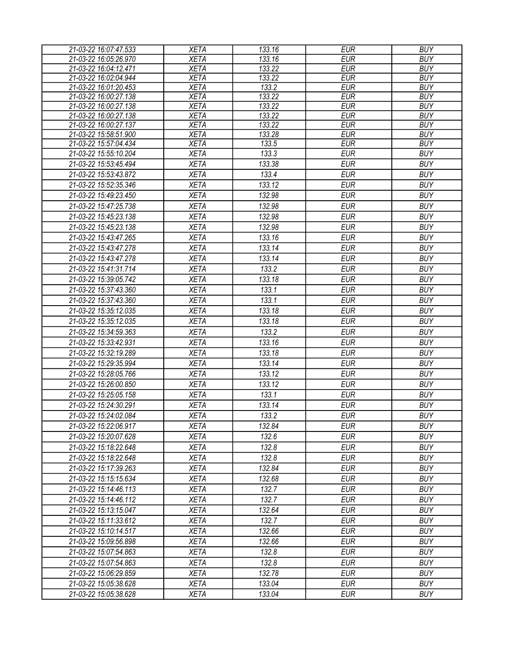| 21-03-22 16:07:47.533 | <b>XETA</b> | 133.16              | <b>EUR</b> | <b>BUY</b> |
|-----------------------|-------------|---------------------|------------|------------|
| 21-03-22 16:05:26.970 | <b>XETA</b> | 133.16              | <b>EUR</b> | <b>BUY</b> |
| 21-03-22 16:04:12.471 | <b>XETA</b> | $\overline{133.22}$ | <b>EUR</b> | <b>BUY</b> |
| 21-03-22 16:02:04.944 | <b>XETA</b> | 133.22              | <b>EUR</b> | <b>BUY</b> |
| 21-03-22 16:01:20.453 | <b>XETA</b> | 133.2               | <b>EUR</b> | <b>BUY</b> |
| 21-03-22 16:00:27.138 | <b>XETA</b> | 133.22              | <b>EUR</b> | <b>BUY</b> |
| 21-03-22 16:00:27.138 | <b>XETA</b> | 133.22              | <b>EUR</b> | <b>BUY</b> |
| 21-03-22 16:00:27.138 | <b>XETA</b> | 133.22              | <b>EUR</b> | <b>BUY</b> |
| 21-03-22 16:00:27.137 | <b>XETA</b> | 133.22              | <b>EUR</b> | <b>BUY</b> |
| 21-03-22 15:58:51.900 | <b>XETA</b> | 133.28              | <b>EUR</b> | <b>BUY</b> |
| 21-03-22 15:57:04.434 | <b>XETA</b> | 133.5               | <b>EUR</b> | <b>BUY</b> |
| 21-03-22 15:55:10.204 | <b>XETA</b> | 133.3               | <b>EUR</b> | <b>BUY</b> |
| 21-03-22 15:53:45.494 | <b>XETA</b> | 133.38              | <b>EUR</b> | <b>BUY</b> |
| 21-03-22 15:53:43.872 | <b>XETA</b> | 133.4               | <b>EUR</b> | <b>BUY</b> |
| 21-03-22 15:52:35.346 | <b>XETA</b> | 133.12              | <b>EUR</b> | <b>BUY</b> |
| 21-03-22 15:49:23.450 | <b>XETA</b> | 132.98              | <b>EUR</b> | <b>BUY</b> |
| 21-03-22 15:47:25.738 | <b>XETA</b> | 132.98              | <b>EUR</b> | <b>BUY</b> |
| 21-03-22 15:45:23.138 | <b>XETA</b> | 132.98              | <b>EUR</b> | <b>BUY</b> |
| 21-03-22 15:45:23.138 | <b>XETA</b> | 132.98              | <b>EUR</b> | <b>BUY</b> |
| 21-03-22 15:43:47.265 | <b>XETA</b> | 133.16              | <b>EUR</b> | <b>BUY</b> |
| 21-03-22 15:43:47.278 | <b>XETA</b> | 133.14              | <b>EUR</b> | <b>BUY</b> |
| 21-03-22 15:43:47.278 | <b>XETA</b> | 133.14              | <b>EUR</b> | <b>BUY</b> |
| 21-03-22 15:41:31.714 | <b>XETA</b> | 133.2               | <b>EUR</b> | <b>BUY</b> |
| 21-03-22 15:39:05.742 | <b>XETA</b> | 133.18              | <b>EUR</b> | <b>BUY</b> |
|                       |             |                     | <b>EUR</b> | <b>BUY</b> |
| 21-03-22 15:37:43.360 | <b>XETA</b> | 133.1               |            |            |
| 21-03-22 15:37:43.360 | <b>XETA</b> | 133.1               | <b>EUR</b> | <b>BUY</b> |
| 21-03-22 15:35:12.035 | <b>XETA</b> | 133.18              | <b>EUR</b> | <b>BUY</b> |
| 21-03-22 15:35:12.035 | <b>XETA</b> | 133.18              | <b>EUR</b> | <b>BUY</b> |
| 21-03-22 15:34:59.363 | <b>XETA</b> | 133.2               | <b>EUR</b> | <b>BUY</b> |
| 21-03-22 15:33:42.931 | <b>XETA</b> | 133.16              | <b>EUR</b> | <b>BUY</b> |
| 21-03-22 15:32:19.289 | <b>XETA</b> | 133.18              | <b>EUR</b> | <b>BUY</b> |
| 21-03-22 15:29:35.994 | <b>XETA</b> | 133.14              | <b>EUR</b> | <b>BUY</b> |
| 21-03-22 15:28:05.766 | <b>XETA</b> | 133.12              | <b>EUR</b> | <b>BUY</b> |
| 21-03-22 15:26:00.850 | <b>XETA</b> | 133.12              | <b>EUR</b> | <b>BUY</b> |
| 21-03-22 15:25:05.158 | <b>XETA</b> | 133.1               | <b>EUR</b> | <b>BUY</b> |
| 21-03-22 15:24:30.291 | <b>XETA</b> | 133.14              | <b>EUR</b> | <b>BUY</b> |
| 21-03-22 15:24:02.084 | <b>XETA</b> | 133.2               | EUR        | <b>BUY</b> |
| 21-03-22 15:22:06.917 | <b>XETA</b> | 132.84              | <b>EUR</b> | <b>BUY</b> |
| 21-03-22 15:20:07.628 | <b>XETA</b> | 132.6               | <b>EUR</b> | <b>BUY</b> |
| 21-03-22 15:18:22.648 | <b>XETA</b> | 132.8               | <b>EUR</b> | <b>BUY</b> |
| 21-03-22 15:18:22.648 | <b>XETA</b> | 132.8               | <b>EUR</b> | <b>BUY</b> |
| 21-03-22 15:17:39.263 | <b>XETA</b> | 132.84              | <b>EUR</b> | <b>BUY</b> |
|                       |             |                     |            |            |
| 21-03-22 15:15:15.634 | <b>XETA</b> | 132.68              | <b>EUR</b> | <b>BUY</b> |
| 21-03-22 15:14:46.113 | <b>XETA</b> | 132.7               | <b>EUR</b> | <b>BUY</b> |
| 21-03-22 15:14:46.112 | <b>XETA</b> | 132.7               | <b>EUR</b> | <b>BUY</b> |
| 21-03-22 15:13:15.047 | <b>XETA</b> | 132.64              | <b>EUR</b> | <b>BUY</b> |
| 21-03-22 15:11:33.612 | <b>XETA</b> | 132.7               | <b>EUR</b> | <b>BUY</b> |
| 21-03-22 15:10:14.517 | <b>XETA</b> | 132.66              | <b>EUR</b> | <b>BUY</b> |
| 21-03-22 15:09:56.898 | <b>XETA</b> | 132.66              | <b>EUR</b> | <b>BUY</b> |
| 21-03-22 15:07:54.863 | <b>XETA</b> | 132.8               | <b>EUR</b> | <b>BUY</b> |
| 21-03-22 15:07:54.863 | <b>XETA</b> | 132.8               | <b>EUR</b> | <b>BUY</b> |
| 21-03-22 15:06:29.859 | <b>XETA</b> | 132.78              | <b>EUR</b> | <b>BUY</b> |
| 21-03-22 15:05:38.628 | <b>XETA</b> | 133.04              | <b>EUR</b> | <b>BUY</b> |
| 21-03-22 15:05:38.628 | <b>XETA</b> | 133.04              | <b>EUR</b> | <b>BUY</b> |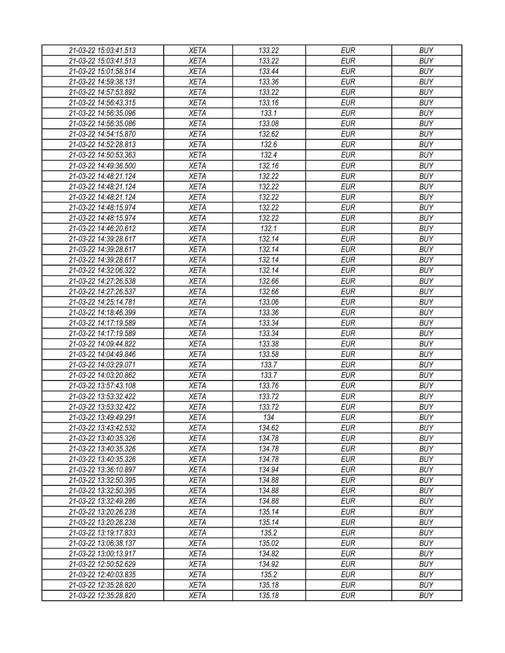| 21-03-22 15:03:41.513 | <b>XETA</b> | 133.22 | <b>EUR</b> | <b>BUY</b> |
|-----------------------|-------------|--------|------------|------------|
| 21-03-22 15:03:41.513 | <b>XETA</b> | 133.22 | <b>EUR</b> | <b>BUY</b> |
| 21-03-22 15:01:58.514 | <b>XETA</b> | 133.44 | <b>EUR</b> | <b>BUY</b> |
| 21-03-22 14:59:38.131 | <b>XETA</b> | 133.36 | <b>EUR</b> | <b>BUY</b> |
| 21-03-22 14:57:53.892 | <b>XETA</b> | 133.22 | <b>EUR</b> | <b>BUY</b> |
| 21-03-22 14:56:43.315 | <b>XETA</b> | 133.16 | <b>EUR</b> | <b>BUY</b> |
| 21-03-22 14:56:35.096 | <b>XETA</b> | 133.1  | <b>EUR</b> | <b>BUY</b> |
| 21-03-22 14:56:35.086 | <b>XETA</b> | 133.08 | <b>EUR</b> | <b>BUY</b> |
| 21-03-22 14:54:15.870 | <b>XETA</b> | 132.62 | <b>EUR</b> | <b>BUY</b> |
| 21-03-22 14:52:28.813 | <b>XETA</b> | 132.6  | <b>EUR</b> | <b>BUY</b> |
| 21-03-22 14:50:53.363 | <b>XETA</b> | 132.4  | <b>EUR</b> | <b>BUY</b> |
| 21-03-22 14:49:36.500 | <b>XETA</b> | 132.16 | <b>EUR</b> | <b>BUY</b> |
| 21-03-22 14:48:21.124 | <b>XETA</b> | 132.22 | <b>EUR</b> | <b>BUY</b> |
| 21-03-22 14:48:21.124 | <b>XETA</b> | 132.22 | <b>EUR</b> | <b>BUY</b> |
| 21-03-22 14:48:21.124 | <b>XETA</b> | 132.22 | <b>EUR</b> | <b>BUY</b> |
| 21-03-22 14:48:15.974 | <b>XETA</b> | 132.22 | <b>EUR</b> | <b>BUY</b> |
| 21-03-22 14:48:15.974 | <b>XETA</b> | 132.22 | <b>EUR</b> | <b>BUY</b> |
| 21-03-22 14:46:20.612 | <b>XETA</b> | 132.1  | <b>EUR</b> | <b>BUY</b> |
| 21-03-22 14:39:28.617 | <b>XETA</b> | 132.14 | <b>EUR</b> | <b>BUY</b> |
| 21-03-22 14:39:28.617 | <b>XETA</b> | 132.14 | <b>EUR</b> | <b>BUY</b> |
| 21-03-22 14:39:28.617 | <b>XETA</b> | 132.14 | <b>EUR</b> | <b>BUY</b> |
| 21-03-22 14:32:06.322 | <b>XETA</b> | 132.14 | <b>EUR</b> | <b>BUY</b> |
| 21-03-22 14:27:26.538 | <b>XETA</b> | 132.66 | <b>EUR</b> | <b>BUY</b> |
| 21-03-22 14:27:26.537 | <b>XETA</b> | 132.66 | <b>EUR</b> | <b>BUY</b> |
| 21-03-22 14:25:14.781 | <b>XETA</b> | 133.06 | <b>EUR</b> | <b>BUY</b> |
| 21-03-22 14:18:46.399 | <b>XETA</b> | 133.36 | <b>EUR</b> | <b>BUY</b> |
| 21-03-22 14:17:19.589 | <b>XETA</b> | 133.34 | <b>EUR</b> | <b>BUY</b> |
| 21-03-22 14:17:19.589 | <b>XETA</b> | 133.34 | <b>EUR</b> | <b>BUY</b> |
| 21-03-22 14:09:44.822 | <b>XETA</b> | 133.38 | <b>EUR</b> | <b>BUY</b> |
| 21-03-22 14:04:49.846 | <b>XETA</b> | 133.58 | <b>EUR</b> | <b>BUY</b> |
| 21-03-22 14:03:29.071 | <b>XETA</b> | 133.7  | <b>EUR</b> | <b>BUY</b> |
| 21-03-22 14:03:20.862 | <b>XETA</b> | 133.7  | <b>EUR</b> | <b>BUY</b> |
|                       | <b>XETA</b> | 133.76 | <b>EUR</b> | <b>BUY</b> |
| 21-03-22 13:57:43.108 |             |        |            | <b>BUY</b> |
| 21-03-22 13:53:32.422 | <b>XETA</b> | 133.72 | <b>EUR</b> |            |
| 21-03-22 13:53:32.422 | <b>XETA</b> | 133.72 | <b>EUR</b> | <b>BUY</b> |
| 21-03-22 13:49:49.291 | <b>XETA</b> | 134    | <b>EUR</b> | <b>BUY</b> |
| 21-03-22 13:43:42.532 | <b>XETA</b> | 134.62 | <b>EUR</b> | <b>BUY</b> |
| 21-03-22 13:40:35.326 | <b>XETA</b> | 134.78 | <b>EUR</b> | <b>BUY</b> |
| 21-03-22 13:40:35.326 | <b>XETA</b> | 134.78 | <b>EUR</b> | <b>BUY</b> |
| 21-03-22 13:40:35.326 | <b>XETA</b> | 134.78 | <b>EUR</b> | <b>BUY</b> |
| 21-03-22 13:36:10.897 | <b>XETA</b> | 134.94 | <b>EUR</b> | <b>BUY</b> |
| 21-03-22 13:32:50.395 | <b>XETA</b> | 134.88 | <b>EUR</b> | <b>BUY</b> |
| 21-03-22 13:32:50.395 | <b>XETA</b> | 134.88 | <b>EUR</b> | <b>BUY</b> |
| 21-03-22 13:32:49.286 | <b>XETA</b> | 134.88 | <b>EUR</b> | <b>BUY</b> |
| 21-03-22 13:20:26.238 | <b>XETA</b> | 135.14 | <b>EUR</b> | <b>BUY</b> |
| 21-03-22 13:20:26.238 | <b>XETA</b> | 135.14 | <b>EUR</b> | <b>BUY</b> |
| 21-03-22 13:19:17.833 | <b>XETA</b> | 135.2  | <b>EUR</b> | <b>BUY</b> |
| 21-03-22 13:06:38.137 | <b>XETA</b> | 135.02 | <b>EUR</b> | <b>BUY</b> |
| 21-03-22 13:00:13.917 | <b>XETA</b> | 134.82 | <b>EUR</b> | <b>BUY</b> |
| 21-03-22 12:50:52.629 | <b>XETA</b> | 134.92 | <b>EUR</b> | <b>BUY</b> |
| 21-03-22 12:40:03.835 | <b>XETA</b> | 135.2  | <b>EUR</b> | <b>BUY</b> |
| 21-03-22 12:35:28.820 | <b>XETA</b> | 135.18 | <b>EUR</b> | <b>BUY</b> |
| 21-03-22 12:35:28.820 | <b>XETA</b> | 135.18 | <b>EUR</b> | <b>BUY</b> |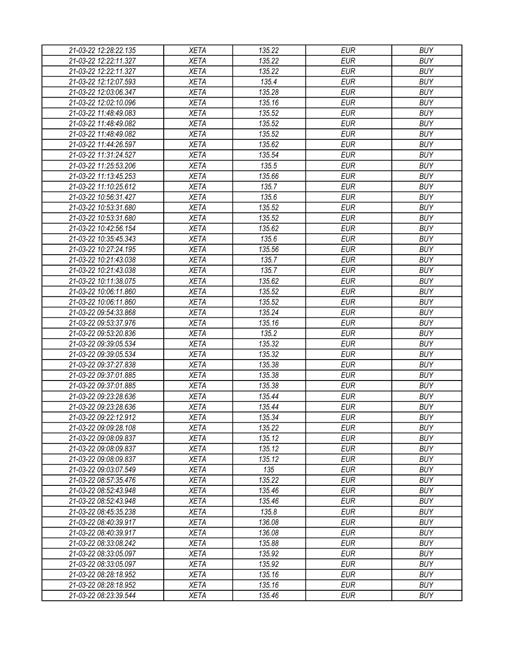| 21-03-22 12:28:22.135 | <b>XETA</b> | 135.22 | <b>EUR</b> | <b>BUY</b> |
|-----------------------|-------------|--------|------------|------------|
| 21-03-22 12:22:11.327 | <b>XETA</b> | 135.22 | <b>EUR</b> | <b>BUY</b> |
| 21-03-22 12:22:11.327 | <b>XETA</b> | 135.22 | <b>EUR</b> | <b>BUY</b> |
| 21-03-22 12:12:07.593 | <b>XETA</b> | 135.4  | <b>EUR</b> | <b>BUY</b> |
| 21-03-22 12:03:06.347 | <b>XETA</b> | 135.28 | <b>EUR</b> | <b>BUY</b> |
| 21-03-22 12:02:10.096 | <b>XETA</b> | 135.16 | <b>EUR</b> | <b>BUY</b> |
| 21-03-22 11:48:49.083 | <b>XETA</b> | 135.52 | <b>EUR</b> | <b>BUY</b> |
| 21-03-22 11:48:49.082 | <b>XETA</b> | 135.52 | <b>EUR</b> | <b>BUY</b> |
| 21-03-22 11:48:49.082 | <b>XETA</b> | 135.52 | <b>EUR</b> | <b>BUY</b> |
| 21-03-22 11:44:26.597 | <b>XETA</b> | 135.62 | <b>EUR</b> | <b>BUY</b> |
| 21-03-22 11:31:24.527 | <b>XETA</b> | 135.54 | <b>EUR</b> | <b>BUY</b> |
| 21-03-22 11:25:53.206 | <b>XETA</b> | 135.5  | <b>EUR</b> | <b>BUY</b> |
| 21-03-22 11:13:45.253 | <b>XETA</b> | 135.66 | <b>EUR</b> | <b>BUY</b> |
| 21-03-22 11:10:25.612 | <b>XETA</b> | 135.7  | <b>EUR</b> | <b>BUY</b> |
| 21-03-22 10:56:31.427 | <b>XETA</b> | 135.6  | <b>EUR</b> | <b>BUY</b> |
| 21-03-22 10:53:31.680 | <b>XETA</b> | 135.52 | <b>EUR</b> | <b>BUY</b> |
| 21-03-22 10:53:31.680 | <b>XETA</b> | 135.52 | <b>EUR</b> | <b>BUY</b> |
| 21-03-22 10:42:56.154 | <b>XETA</b> | 135.62 | <b>EUR</b> | <b>BUY</b> |
| 21-03-22 10:35:45.343 | <b>XETA</b> | 135.6  | <b>EUR</b> | <b>BUY</b> |
| 21-03-22 10:27:24.195 | <b>XETA</b> | 135.56 | <b>EUR</b> | <b>BUY</b> |
| 21-03-22 10:21:43.038 | <b>XETA</b> | 135.7  | <b>EUR</b> | <b>BUY</b> |
| 21-03-22 10:21:43.038 | <b>XETA</b> | 135.7  | <b>EUR</b> | <b>BUY</b> |
| 21-03-22 10:11:38.075 | <b>XETA</b> | 135.62 | <b>EUR</b> | <b>BUY</b> |
| 21-03-22 10:06:11.860 | <b>XETA</b> | 135.52 | <b>EUR</b> | <b>BUY</b> |
| 21-03-22 10:06:11.860 | <b>XETA</b> | 135.52 | <b>EUR</b> | <b>BUY</b> |
| 21-03-22 09:54:33.868 | <b>XETA</b> | 135.24 | <b>EUR</b> | <b>BUY</b> |
| 21-03-22 09:53:37.976 | <b>XETA</b> | 135.16 | <b>EUR</b> | <b>BUY</b> |
| 21-03-22 09:53:20.836 | <b>XETA</b> | 135.2  | <b>EUR</b> | <b>BUY</b> |
| 21-03-22 09:39:05.534 | <b>XETA</b> | 135.32 | <b>EUR</b> | <b>BUY</b> |
| 21-03-22 09:39:05.534 | <b>XETA</b> | 135.32 | <b>EUR</b> | <b>BUY</b> |
| 21-03-22 09:37:27.838 | <b>XETA</b> | 135.38 | <b>EUR</b> | <b>BUY</b> |
| 21-03-22 09:37:01.885 | <b>XETA</b> | 135.38 | <b>EUR</b> | <b>BUY</b> |
|                       |             |        | <b>EUR</b> | <b>BUY</b> |
| 21-03-22 09:37:01.885 | <b>XETA</b> | 135.38 |            |            |
| 21-03-22 09:23:28.636 | <b>XETA</b> | 135.44 | <b>EUR</b> | <b>BUY</b> |
| 21-03-22 09:23:28.636 | <b>XETA</b> | 135.44 | <b>EUR</b> | <b>BUY</b> |
| 21-03-22 09:22:12.912 | <b>XETA</b> | 135.34 | <b>EUR</b> | <b>BUY</b> |
| 21-03-22 09:09:28.108 | <b>XETA</b> | 135.22 | <b>EUR</b> | <b>BUY</b> |
| 21-03-22 09:08:09.837 | <b>XETA</b> | 135.12 | <b>EUR</b> | <b>BUY</b> |
| 21-03-22 09:08:09.837 | <b>XETA</b> | 135.12 | <b>EUR</b> | <b>BUY</b> |
| 21-03-22 09:08:09.837 | <b>XETA</b> | 135.12 | <b>EUR</b> | <b>BUY</b> |
| 21-03-22 09:03:07.549 | <b>XETA</b> | 135    | <b>EUR</b> | <b>BUY</b> |
| 21-03-22 08:57:35.476 | <b>XETA</b> | 135.22 | <b>EUR</b> | <b>BUY</b> |
| 21-03-22 08:52:43.948 | <b>XETA</b> | 135.46 | <b>EUR</b> | <b>BUY</b> |
| 21-03-22 08:52:43.948 | <b>XETA</b> | 135.46 | <b>EUR</b> | <b>BUY</b> |
| 21-03-22 08:45:35.238 | <b>XETA</b> | 135.8  | <b>EUR</b> | <b>BUY</b> |
| 21-03-22 08:40:39.917 | <b>XETA</b> | 136.08 | <b>EUR</b> | <b>BUY</b> |
| 21-03-22 08:40:39.917 | <b>XETA</b> | 136.08 | <b>EUR</b> | <b>BUY</b> |
| 21-03-22 08:33:08.242 | <b>XETA</b> | 135.88 | <b>EUR</b> | <b>BUY</b> |
| 21-03-22 08:33:05.097 | <b>XETA</b> | 135.92 | <b>EUR</b> | <b>BUY</b> |
| 21-03-22 08:33:05.097 | <b>XETA</b> | 135.92 | <b>EUR</b> | <b>BUY</b> |
| 21-03-22 08:28:18.952 | <b>XETA</b> | 135.16 | <b>EUR</b> | <b>BUY</b> |
| 21-03-22 08:28:18.952 | <b>XETA</b> | 135.16 | <b>EUR</b> | <b>BUY</b> |
| 21-03-22 08:23:39.544 | <b>XETA</b> | 135.46 | <b>EUR</b> | <b>BUY</b> |